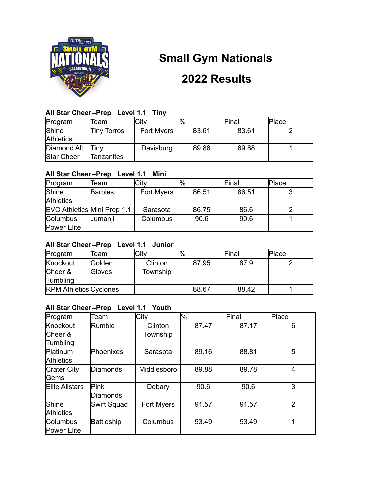

# **Small Gym Nationals**

# **2022 Results**

# **All Star Cheer--Prep Level 1.1 Tiny**

| Program           | Team               | Citv       | $\frac{10}{6}$ | Final | lPlace |
|-------------------|--------------------|------------|----------------|-------|--------|
| Shine             | <b>Tiny Torros</b> | Fort Myers | 83.61          | 83.61 |        |
| <b>Athletics</b>  |                    |            |                |       |        |
| Diamond All       | Tinv               | Davisburg  | 89.88          | 89.88 |        |
| <b>Star Cheer</b> | Tanzanites         |            |                |       |        |

# **All Star Cheer--Prep Level 1.1 Mini**

| Program                     | Team           | City       | $\frac{10}{6}$ | Final | Place |
|-----------------------------|----------------|------------|----------------|-------|-------|
| Shine                       | <b>Barbies</b> | Fort Myers | 86.51          | 86.51 |       |
| <b>Athletics</b>            |                |            |                |       |       |
| EVO Athletics Mini Prep 1.1 |                | Sarasota   | 86.75          | 86.6  |       |
| Columbus                    | Jumanji        | Columbus   | 90.6           | 90.6  |       |
| Power Elite                 |                |            |                |       |       |

# **All Star Cheer--Prep Level 1.1 Junior**

| Program                         | Team              | City                | $\frac{10}{6}$ | Final | <b>Place</b> |
|---------------------------------|-------------------|---------------------|----------------|-------|--------------|
| Knockout<br>Cheer &<br>Tumbling | Golden<br>lGloves | Clinton<br>Township | 87.95          | 87.9  |              |
| <b>RPM Athletics Cyclones</b>   |                   |                     | 88.67          | 88.42 |              |

# **All Star Cheer--Prep Level 1.1 Youth**

| Program                               | Team                    | City                | $\frac{10}{6}$ | Final | Place          |
|---------------------------------------|-------------------------|---------------------|----------------|-------|----------------|
| Knockout<br>Cheer &<br>Tumbling       | Rumble                  | Clinton<br>Township | 87.47          | 87.17 | 6              |
| Platinum<br><b>Athletics</b>          | Phoenixes               | Sarasota            | 89.16          | 88.81 | 5              |
| <b>Crater City</b><br><b>Gems</b>     | Diamonds                | Middlesboro         | 89.88          | 89.78 | 4              |
| <b>Elite Allstars</b>                 | Pink<br><b>Diamonds</b> | Debary              | 90.6           | 90.6  | 3              |
| Shine<br><b>Athletics</b>             | Swift Squad             | Fort Myers          | 91.57          | 91.57 | $\mathfrak{p}$ |
| <b>Columbus</b><br><b>Power Elite</b> | <b>Battleship</b>       | Columbus            | 93.49          | 93.49 |                |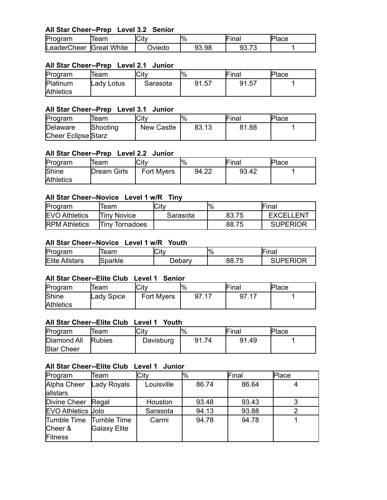# **All Star Cheer--Prep Level 3.2 Senior**

| Program                 | leam | Citv   | $\frac{10}{6}$ | lna. | Place |
|-------------------------|------|--------|----------------|------|-------|
| LeaderCheer Great White |      | つviedo | 93.98          | ୬୬.7 |       |

#### **All Star Cheer--Prep Level 2.1 Junior**

| Program          | Team       | lCitv    | $\frac{10}{6}$ | Final | Place |
|------------------|------------|----------|----------------|-------|-------|
| Platinum         | Ladv Lotus | Sarasota | 91.57          | 91.57 |       |
| <b>Athletics</b> |            |          |                |       |       |

#### **All Star Cheer--Prep Level 3.1 Junior**

| Program             | leam     | City       | $\%$  | Final | Place |
|---------------------|----------|------------|-------|-------|-------|
| Delaware            | Shooting | New Castle | 83.13 | 81.88 |       |
| Cheer Eclipse Starz |          |            |       |       |       |

#### **All Star Cheer--Prep Level 2.2 Junior**

| Program          | Team        | City              | $\frac{10}{6}$ | Final | Place |
|------------------|-------------|-------------------|----------------|-------|-------|
| Shine            | Dream Girls | <b>Fort Myers</b> | 94.22          | 93.42 |       |
| <b>Athletics</b> |             |                   |                |       |       |

#### **All Star Cheer--Novice Level 1 w/R Tiny**

| Program              | Team           | City     | $\frac{10}{6}$ | Final            |
|----------------------|----------------|----------|----------------|------------------|
| <b>EVO Athletics</b> | lTinv Novice   | Sarasota | 83.75          | <b>EXCELLENT</b> |
| <b>RPM</b> Athletics | Tiny Tornadoes |          | 88.75          | <b>SUPERIOR</b>  |

#### **All Star Cheer--Novice Level 1 w/R Youth**

| Program               | 'eam    | <b>City</b> | $\frac{10}{6}$ | --<br>⊪ınai    |
|-----------------------|---------|-------------|----------------|----------------|
| <b>Elite Allstars</b> | Sparkle | Debary      | 88.75          | <b>JPERIOR</b> |

#### **All Star Cheer--Elite Club Level 1 Senior**

| Program          | leam       | City       | $\frac{10}{6}$ | Final        | Place |
|------------------|------------|------------|----------------|--------------|-------|
| Shine            | Lady Spice | Fort Myers | - 17<br>97.17  | 97.17<br>-47 |       |
| <b>Athletics</b> |            |            |                |              |       |

#### **All Star Cheer--Elite Club Level 1 Youth**

| Program           | leam          | lCitv     |       | Final | Place |
|-------------------|---------------|-----------|-------|-------|-------|
| Diamond All       | <b>Rubies</b> | Davisburg | 91.74 | 91.49 |       |
| <b>Star Cheer</b> |               |           |       |       |       |

#### **All Star Cheer--Elite Club Level 1 Junior**

| Program                                  | Team                        | City       | l%    | Final | Place |
|------------------------------------------|-----------------------------|------------|-------|-------|-------|
| Alpha Cheer<br>allstars                  | Lady Royals                 | Louisville | 86.74 | 86.64 |       |
| Divine Cheer                             | Regal                       | Houston    | 93.48 | 93.43 | 3     |
| <b>EVO Athletics Jolo</b>                |                             | Sarasota   | 94.13 | 93.88 |       |
| Tumble Time<br>Cheer &<br><b>Fitness</b> | Tumble Time<br>Galaxy Elite | Carmi      | 94.78 | 94.78 |       |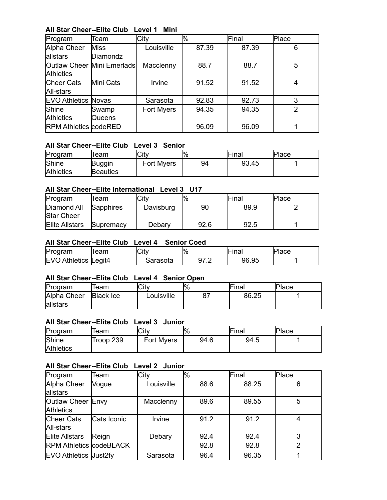# **All Star Cheer--Elite Club Level 1 Mini**

| Program                                        | Team            | City       | $\%$  | Final | Place |
|------------------------------------------------|-----------------|------------|-------|-------|-------|
| Alpha Cheer                                    | <b>Miss</b>     | Louisville | 87.39 | 87.39 | 6     |
| allstars                                       | Diamondz        |            |       |       |       |
| Outlaw Cheer Mini Emerlads<br><b>Athletics</b> |                 | Macclenny  | 88.7  | 88.7  | 5     |
| <b>Cheer Cats</b><br>All-stars                 | Mini Cats       | Irvine     | 91.52 | 91.52 | 4     |
| <b>EVO Athletics Novas</b>                     |                 | Sarasota   | 92.83 | 92.73 | 3     |
| Shine<br><b>Athletics</b>                      | Swamp<br>Queens | Fort Myers | 94.35 | 94.35 | 2     |
| <b>RPM Athletics codeRED</b>                   |                 |            | 96.09 | 96.09 |       |

### **All Star Cheer--Elite Club Level 3 Senior**

| Program          | leam            | City              | $\frac{10}{6}$ | Final | Place |
|------------------|-----------------|-------------------|----------------|-------|-------|
| Shine            | Buggin          | <b>Fort Myers</b> | 94             | 93.45 |       |
| <b>Athletics</b> | <b>Beauties</b> |                   |                |       |       |

### **All Star Cheer--Elite International Level 3 U17**

| Program                          | Team             | City      | %ا   | Final | Place |
|----------------------------------|------------------|-----------|------|-------|-------|
| Diamond All<br><b>Star Cheer</b> | <b>Sapphires</b> | Davisburg | 90   | 89.9  |       |
| <b>Elite Allstars</b>            | Supremacy        | Debarv    | 92.6 | 92.5  |       |

#### **All Star Cheer--Elite Club Level 4 Senior Coed**

| Pro<br>วaram                                 | eam    | City     | lY <sub>o</sub>                | --<br>$-100$<br>11 I a I | IP<br>'lace |
|----------------------------------------------|--------|----------|--------------------------------|--------------------------|-------------|
| <b>IEV</b><br><sup>1</sup> thletics ⊾<br>Ali | Legit4 | arasota: | ה דה<br>◡<br>ັ<br>. <u>. .</u> | 96.95                    |             |

# **All Star Cheer--Elite Club Level 4 Senior Open**

| Program     | leam             | City       | $P_{\rm 6}$ | Final | <b>Place</b> |
|-------------|------------------|------------|-------------|-------|--------------|
| Alpha Cheer | <b>Black Ice</b> | Louisville |             | 86.25 |              |
| allstars    |                  |            |             |       |              |

#### **All Star Cheer--Elite Club Level 3 Junior**

| Program          | leam      | City       | $P_{\gamma_0}$ | Final | Place |
|------------------|-----------|------------|----------------|-------|-------|
| Shine            | Troop 239 | Fort Myers | 94.6           | 94.5  |       |
| <b>Athletics</b> |           |            |                |       |       |

#### **All Star Cheer--Elite Club Level 2 Junior**

| Program                        | Team        | City       | $\frac{10}{6}$ | Final | Place |
|--------------------------------|-------------|------------|----------------|-------|-------|
| Alpha Cheer                    | Vogue       | Louisville | 88.6           | 88.25 | 6     |
| allstars                       |             |            |                |       |       |
| Outlaw Cheer Envy              |             | Macclenny  | 89.6           | 89.55 | 5     |
| <b>Athletics</b>               |             |            |                |       |       |
| Cheer Cats                     | Cats Iconic | Irvine     | 91.2           | 91.2  | 4     |
| All-stars                      |             |            |                |       |       |
| <b>Elite Allstars</b>          | Reign       | Debary     | 92.4           | 92.4  | 3     |
| <b>RPM Athletics codeBLACK</b> |             |            | 92.8           | 92.8  | 2     |
| <b>EVO Athletics Just2fy</b>   |             | Sarasota   | 96.4           | 96.35 |       |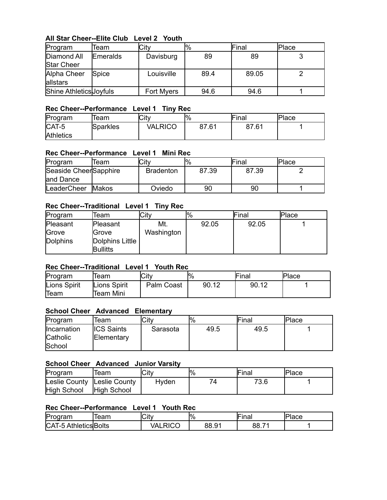# **All Star Cheer--Elite Club Level 2 Youth**

| Program                 | Team            | City              | $\frac{10}{6}$ | Final | lPlace |
|-------------------------|-----------------|-------------------|----------------|-------|--------|
| Diamond All             | <b>Emeralds</b> | Davisburg         | 89             | 89    |        |
| <b>Star Cheer</b>       |                 |                   |                |       |        |
| Alpha Cheer             | Spice           | Louisville        | 89.4           | 89.05 |        |
| allstars                |                 |                   |                |       |        |
| Shine Athletics Joyfuls |                 | <b>Fort Myers</b> | 94.6           | 94.6  |        |

### **Rec Cheer--Performance Level 1 Tiny Rec**

| Program          | Team            | City    | $\frac{10}{6}$ | Final | <b>Place</b> |
|------------------|-----------------|---------|----------------|-------|--------------|
| CAT-5            | <b>Sparkles</b> | VALRICO | 87.61          | 87.61 |              |
| <b>Athletics</b> |                 |         |                |       |              |

### **Rec Cheer--Performance Level 1 Mini Rec**

| Program               | Team   | City             | '%    | Final | <b>Place</b> |
|-----------------------|--------|------------------|-------|-------|--------------|
| Seaside CheerSapphire |        | <b>Bradenton</b> | 87.39 | 87.39 |              |
| and Dance             |        |                  |       |       |              |
| LeaderCheer           | IMakos | Oviedo           | 90    | 90    |              |

# **Rec Cheer--Traditional Level 1 Tiny Rec**

| Program         | Team            | City       | $\%$  | Final | Place |
|-----------------|-----------------|------------|-------|-------|-------|
| Pleasant        | Pleasant        | Mt.        | 92.05 | 92.05 |       |
| Grove           | Grove           | Washington |       |       |       |
| <b>Dolphins</b> | Dolphins Little |            |       |       |       |
|                 | <b>Bullitts</b> |            |       |       |       |

## **Rec Cheer--Traditional Level 1 Youth Rec**

| Program      | leam         | Citv       | $\frac{10}{6}$ | Final | Place |
|--------------|--------------|------------|----------------|-------|-------|
| Lions Spirit | Lions Spirit | Palm Coast | 90.12          | 90.12 |       |
| Team         | Team Mini    |            |                |       |       |

# **School Cheer Advanced Elementary**

| Program     | Team              | City     | $\frac{10}{6}$ | Final | <b>Place</b> |
|-------------|-------------------|----------|----------------|-------|--------------|
| Incarnation | <b>ICS Saints</b> | Sarasota | 49.5           | 49.5  |              |
| Catholic    | Elementary        |          |                |       |              |
| School      |                   |          |                |       |              |

# **School Cheer Advanced Junior Varsity**

| Program                     | leam        | City  | $\frac{10}{6}$ | Final | Place |
|-----------------------------|-------------|-------|----------------|-------|-------|
| Leslie County Leslie County |             | Hyden |                | 73.6  |       |
| High School                 | High School |       |                |       |       |

# **Rec Cheer--Performance Level 1 Youth Rec**

| Prc<br>oram                                             | eam | lCitv                                     | $\frac{10}{6}$ | -<br>m <sub>0</sub><br>iiidi      | $\bar{\ }$<br>1000<br>ιαιτ |
|---------------------------------------------------------|-----|-------------------------------------------|----------------|-----------------------------------|----------------------------|
| CA <sub>1</sub><br>าleticsBolts<br>. .<br>-၁<br>.<br>n. |     | राCO<br>$\sqrt{ }$<br>-<br>. <i>. .</i> . | 88.9           | $\overline{\phantom{a}}$<br>88. . |                            |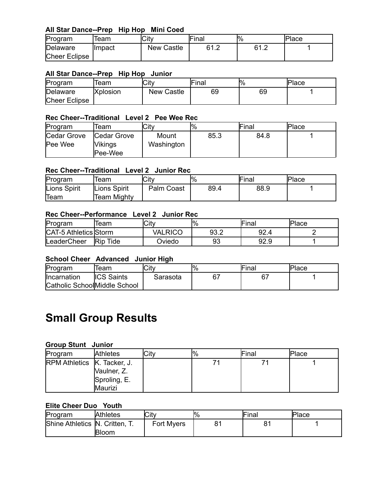# **All Star Dance--Prep Hip Hop Mini Coed**

| Program              | Team    | City       | Final       | $\frac{10}{6}$ | Place |
|----------------------|---------|------------|-------------|----------------|-------|
| Delaware             | Ilmpact | New Castle | 61.2<br>ے ا | R1 2<br>.      |       |
| <b>Cheer Eclipse</b> |         |            |             |                |       |

#### **All Star Dance--Prep Hip Hop Junior**

| Program              | leam            | City              | <b>Final</b> | $\frac{10}{6}$ | <b>Place</b> |
|----------------------|-----------------|-------------------|--------------|----------------|--------------|
| Delaware             | <b>Xplosion</b> | <b>New Castle</b> | 69           | 69             |              |
| <b>Cheer Eclipse</b> |                 |                   |              |                |              |

#### **Rec Cheer--Traditional Level 2 Pee Wee Rec**

| Program                | Team                                                    | City                | $\frac{10}{6}$ | Final | <b>Place</b> |
|------------------------|---------------------------------------------------------|---------------------|----------------|-------|--------------|
| Cedar Grove<br>Pee Wee | <b>Cedar Grove</b><br><b>Vikings</b><br><b>IPee-Wee</b> | Mount<br>Washington | 85.3           | 84.8  |              |

#### **Rec Cheer--Traditional Level 2 Junior Rec**

| Program      | leam         | City       | $\frac{10}{6}$ | Final | <b>Place</b> |
|--------------|--------------|------------|----------------|-------|--------------|
| Lions Spirit | Lions Spirit | Palm Coast | 89.4           | 88.9  |              |
| Team         | 'Team Mighty |            |                |       |              |

#### **Rec Cheer--Performance Level 2 Junior Rec**

| Program                      | leam               | City          | $\frac{10}{6}$ | Final | Place |
|------------------------------|--------------------|---------------|----------------|-------|-------|
| <b>CAT-5 Athletics Storm</b> |                    | VALRICO       | ר בם<br>ອວ.∠   | 92.4  |       |
| LeaderCheer                  | Tide<br><b>Rip</b> | <b>Dviedo</b> | 93             | 92.9  |       |

#### **School Cheer Advanced Junior High**

| Program                       | Team              | City     | <b>l</b> % | Final | Place |
|-------------------------------|-------------------|----------|------------|-------|-------|
| Incarnation                   | <b>ICS Saints</b> | Sarasota |            | 67    |       |
| Catholic School Middle School |                   |          |            |       |       |

# **Small Group Results**

#### **Group Stunt Junior**

| Program                            | <b>Athletes</b> | City | $\frac{10}{6}$ | Final | Place |
|------------------------------------|-----------------|------|----------------|-------|-------|
| <b>RPM Athletics K. Tacker, J.</b> |                 |      |                |       |       |
|                                    | Vaulner, Z.     |      |                |       |       |
|                                    | Sproling, E.    |      |                |       |       |
|                                    | Maurizi         |      |                |       |       |

#### **Elite Cheer Duo Youth**

| Program                        | <b>Athletes</b> | City       | $\frac{10}{6}$ | Final | <b>Place</b> |
|--------------------------------|-----------------|------------|----------------|-------|--------------|
| Shine Athletics N. Critten, T. |                 | Fort Myers | o۸             |       |              |
|                                | <b>Bloom</b>    |            |                |       |              |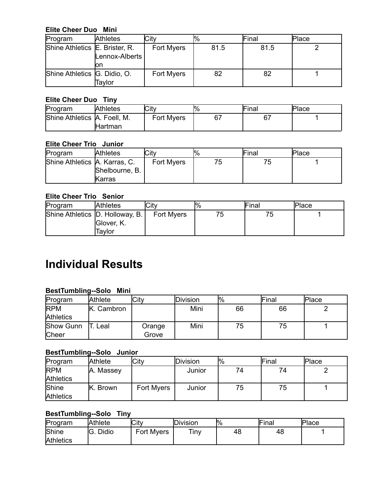## **Elite Cheer Duo Mini**

| Program                        | <b>Athletes</b> | City       | $\frac{10}{6}$ | Final | Place |
|--------------------------------|-----------------|------------|----------------|-------|-------|
| Shine Athletics E. Brister, R. | Lennox-Alberts  | Fort Myers | 81.5           | 81.5  |       |
|                                | on              |            |                |       |       |
| Shine Athletics G. Didio, O.   | Taylor          | Fort Myers | 82             | 82    |       |

### **Elite Cheer Duo Tiny**

| Program                      | <b>Athletes</b> | City       | ۳⁄о | Final | Place |
|------------------------------|-----------------|------------|-----|-------|-------|
| Shine Athletics A. Foell, M. |                 | Fort Myers |     | 67    |       |
|                              | <b>IHartman</b> |            |     |       |       |

# **Elite Cheer Trio Junior**

| Program                       | <b>Athletes</b> | <b>City</b>       | ۳⁄о | Final | Place |
|-------------------------------|-----------------|-------------------|-----|-------|-------|
| Shine Athletics A. Karras, C. |                 | <b>Fort Myers</b> | 75  | / ວ   |       |
|                               | Shelbourne, B.  |                   |     |       |       |
|                               | lKarras         |                   |     |       |       |

# **Elite Cheer Trio Senior**

| Program                          | <b>Athletes</b>      | City              | $\frac{10}{6}$ | Final | <b>Place</b> |
|----------------------------------|----------------------|-------------------|----------------|-------|--------------|
| Shine Athletics  D. Holloway, B. | Glover, K.<br>Tavlor | <b>Fort Myers</b> | 75             | 75    |              |

# **Individual Results**

# **BestTumbling--Solo Mini**

| Program          | <b>Athlete</b> | City   | Division | $\frac{10}{6}$ | Final | <b>Place</b> |
|------------------|----------------|--------|----------|----------------|-------|--------------|
| <b>RPM</b>       | K. Cambron     |        | Mini     | 66             | 66    |              |
| <b>Athletics</b> |                |        |          |                |       |              |
| Show Gunn        | Leal           | Orange | Mini     | 75             | 75    |              |
| Cheer            |                | Grove  |          |                |       |              |

# **BestTumbling--Solo Junior**

| Program          | <b>Athlete</b> | City       | Division | $\mathsf{I}^0\!/\!_0$ | Final | <b>Place</b> |
|------------------|----------------|------------|----------|-----------------------|-------|--------------|
| <b>RPM</b>       | A. Massey      |            | Junior   | 74                    | 74    |              |
| <b>Athletics</b> |                |            |          |                       |       |              |
| Shine            | K. Brown       | Fort Myers | Junior   | 75                    | 75    |              |
| <b>Athletics</b> |                |            |          |                       |       |              |

# **BestTumbling--Solo Tiny**

| Program          | Athlete | City       | Division    | $\frac{10}{6}$ | Final | Place |
|------------------|---------|------------|-------------|----------------|-------|-------|
| Shine            | Didio   | Fort Myers | <b>Tiny</b> | 48             | 48    |       |
| <b>Athletics</b> |         |            |             |                |       |       |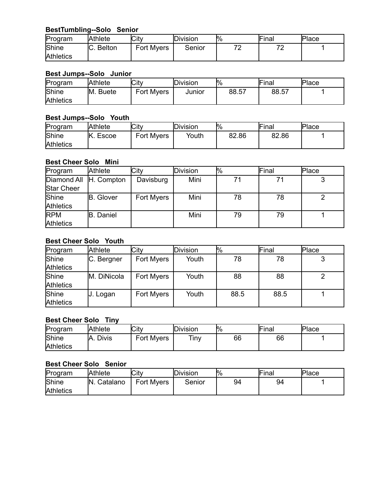# **BestTumbling--Solo Senior**

| Program          | <b>Athlete</b> | City              | <b>IDivision</b> | $\frac{10}{6}$ | Final | Place |
|------------------|----------------|-------------------|------------------|----------------|-------|-------|
| Shine            | C. Belton      | <b>Fort Myers</b> | Senior           | ⇁<br>-         | ¬∼    |       |
| <b>Athletics</b> |                |                   |                  |                |       |       |

# **Best Jumps--Solo Junior**

| Program          | Athlete  | City              | <b>IDivision</b> | $\frac{10}{6}$ | Final | Place |
|------------------|----------|-------------------|------------------|----------------|-------|-------|
| Shine            | M. Buete | <b>Fort Myers</b> | Junior           | 88.57          | 88.57 |       |
| <b>Athletics</b> |          |                   |                  |                |       |       |

#### **Best Jumps--Solo Youth**

| Program                   | <b>Athlete</b> | City              | Division | $\mathsf{I}^0\!/\!_0$ | <b>Final</b> | Place |
|---------------------------|----------------|-------------------|----------|-----------------------|--------------|-------|
| Shine<br><b>Athletics</b> | Escoe          | <b>Fort Myers</b> | Youth    | 82.86                 | 82.86        |       |

# **Best Cheer Solo Mini**

| Program                | <b>Athlete</b>   | City       | Division | l% | Final | Place |
|------------------------|------------------|------------|----------|----|-------|-------|
| Diamond All H. Compton |                  | Davisburg  | Mini     | 71 |       |       |
| Star Cheer             |                  |            |          |    |       |       |
| Shine                  | <b>B.</b> Glover | Fort Myers | Mini     | 78 | 78    |       |
| <b>Athletics</b>       |                  |            |          |    |       |       |
| <b>RPM</b>             | <b>B.</b> Daniel |            | Mini     | 79 | 79    |       |
| <b>Athletics</b>       |                  |            |          |    |       |       |

# **Best Cheer Solo Youth**

| Program          | Athlete                 | City       | Division | <sup>10</sup> % | Final | Place |
|------------------|-------------------------|------------|----------|-----------------|-------|-------|
| Shine            | <sub>I</sub> C. Bergner | Fort Myers | Youth    | 78              | 78    |       |
| <b>Athletics</b> |                         |            |          |                 |       |       |
| Shine            | M. DiNicola             | Fort Myers | Youth    | 88              | 88    |       |
| <b>Athletics</b> |                         |            |          |                 |       |       |
| Shine            | J. Logan                | Fort Myers | Youth    | 88.5            | 88.5  |       |
| <b>Athletics</b> |                         |            |          |                 |       |       |

# **Best Cheer Solo Tiny**

| Program          | Athlete             | City       | Division | $\frac{10}{6}$ | Final | Place |
|------------------|---------------------|------------|----------|----------------|-------|-------|
| Shine            | <b>Divis</b><br>IA. | Fort Myers | Tiny     | 66             | 66    |       |
| <b>Athletics</b> |                     |            |          |                |       |       |

# **Best Cheer Solo Senior**

| Program                   | Athlete      | City              | Division | $\frac{10}{6}$ | <b>Final</b> | Place |
|---------------------------|--------------|-------------------|----------|----------------|--------------|-------|
| Shine<br><b>Athletics</b> | IN. Catalano | <b>Fort Myers</b> | Senior   | 94             | 94           |       |